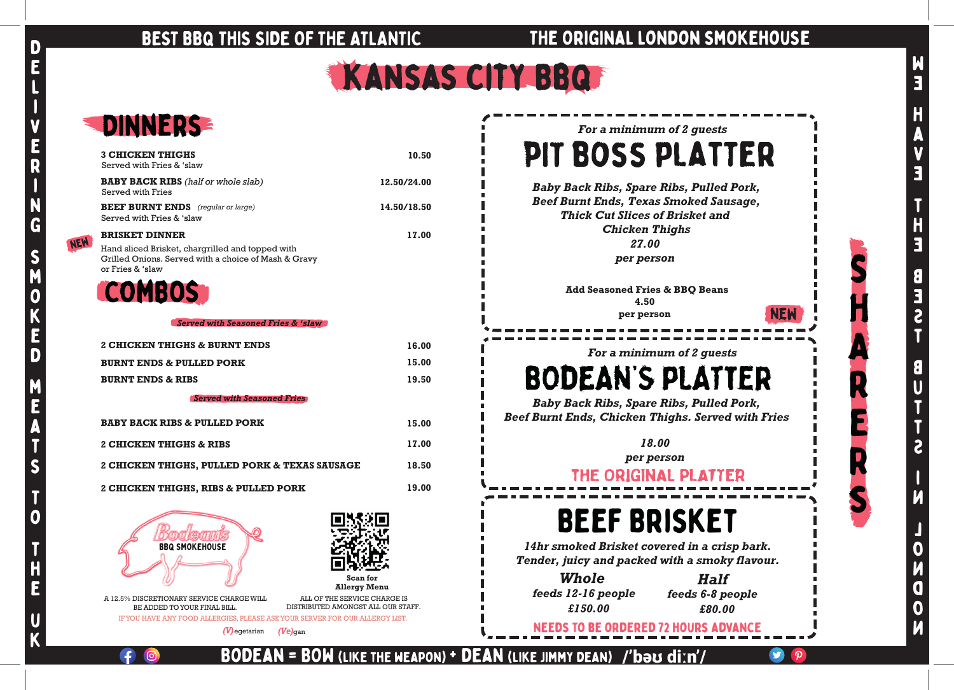# BEST BBQ THIS SIDE OF THE ATLANTIC THE ORIGINAL LONDON SMOKEHOUSE



b

 $\blacksquare$ 

NEW

# We HAVE THE BEST BUTTS inlondon

Bodean = BOW (like the weapon) + dean (like Jimmy dean)

/'bəʊ diːn'/

*For a minimum of 2 guests*  PIT BOSS PLATTER

*Baby Back Ribs, Spare Ribs, Pulled Pork, Beef Burnt Ends, Texas Smoked Sausage, Thick Cut Slices of Brisket and Chicken Thighs 27.00 per person*

*Baby Back Ribs, Spare Ribs, Pulled Pork, Beef Burnt Ends, Chicken Thighs. Served with Fries*

*For a minimum of 2 guests* 

# **BODEAN'S PLATTER**

*18.00 per person*

THE ORIGINAL PLATTER

| DINNERS                                                                                                                                               |             |
|-------------------------------------------------------------------------------------------------------------------------------------------------------|-------------|
| <b>3 CHICKEN THIGHS</b><br>Served with Fries & 'slaw                                                                                                  | 10.50       |
| <b>BABY BACK RIBS</b> (half or whole slab)<br><b>Served with Fries</b>                                                                                | 12.50/24.00 |
| <b>BEEF BURNT ENDS</b> (regular or large)<br>Served with Fries & 'slaw                                                                                | 14.50/18.50 |
| <b>BRISKET DINNER</b><br>Hand sliced Brisket, chargrilled and topped with<br>Grilled Onions. Served with a choice of Mash & Gravy<br>or Fries & 'slaw | 17.00       |
| <b>COMBOS</b>                                                                                                                                         |             |
| Served with Seasoned Fries & 'slaw                                                                                                                    |             |
| 2 CHICKEN THIGHS & BURNT ENDS                                                                                                                         | 16.00       |
| <b>BURNT ENDS &amp; PULLED PORK</b>                                                                                                                   | 15.00       |
| <b>BURNT ENDS &amp; RIBS</b>                                                                                                                          | 19.50       |
| <b>Served with Seasoned Fries</b>                                                                                                                     |             |
| <b>BABY BACK RIBS &amp; PULLED PORK</b>                                                                                                               | 15.00       |
| 2 CHICKEN THIGHS & RIBS                                                                                                                               | 17.00       |
| 2 CHICKEN THIGHS, PULLED PORK & TEXAS SAUSAGE                                                                                                         | 18.50       |
| 2 CHICKEN THIGHS, RIBS & PULLED PORK                                                                                                                  | 19.00       |
| <b>BBQ SMOKEHOUSE</b>                                                                                                                                 |             |

 A 12.5% DISCRETIONARY SERVICE CHARGE WILL BE ADDED TO YOUR FINAL BILL.

IFYOU HAVE ANY FOOD ALLERGIES, PLEASE ASKYOUR SERVER FOR OUR ALLERGY LIST.

ALL OF THE SERVICE CHARGE IS DISTRIBUTED AMONGST ALL OUR STAFF.

*(V)*egetarian *(Ve)*gan

**Add Seasoned Fries & BBQ Beans 4.50 per person**

# Beef Brisket

*14hr smoked Brisket covered in a crisp bark. Tender, juicy and packed with a smoky flavour.*

needs to be ordered 72 hours advance

*£150.00 Whole feeds 12-16 people*

**Scan for Allergy Menu**

*£80.00 Half feeds 6-8 people*